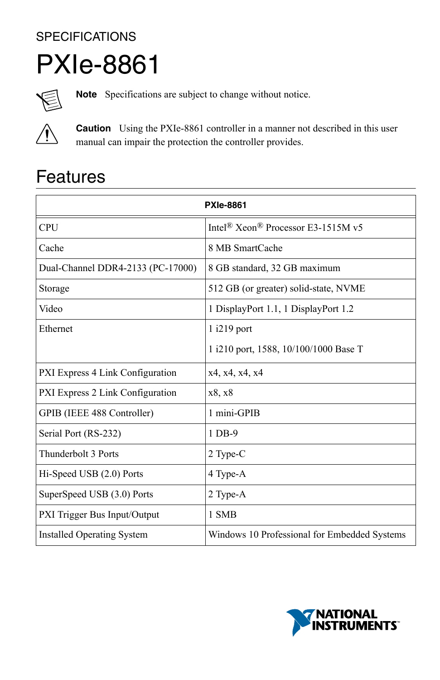#### **SPECIFICATIONS**

# PXIe-8861



**Note** Specifications are subject to change without notice.



**Caution** Using the PXIe-8861 controller in a manner not described in this user manual can impair the protection the controller provides.

| <b>PXIe-8861</b>                  |                                                            |  |
|-----------------------------------|------------------------------------------------------------|--|
| <b>CPU</b>                        | Intel <sup>®</sup> Xeon <sup>®</sup> Processor E3-1515M v5 |  |
| Cache                             | 8 MB SmartCache                                            |  |
| Dual-Channel DDR4-2133 (PC-17000) | 8 GB standard, 32 GB maximum                               |  |
| Storage                           | 512 GB (or greater) solid-state, NVME                      |  |
| Video                             | 1 DisplayPort 1.1, 1 DisplayPort 1.2                       |  |
| Ethernet                          | 1 i219 port                                                |  |
|                                   | 1 i210 port, 1588, 10/100/1000 Base T                      |  |
| PXI Express 4 Link Configuration  | x4, x4, x4, x4                                             |  |
| PXI Express 2 Link Configuration  | x8, x8                                                     |  |
| GPIB (IEEE 488 Controller)        | 1 mini-GPIB                                                |  |
| Serial Port (RS-232)              | 1 DB-9                                                     |  |
| Thunderbolt 3 Ports               | 2 Type-C                                                   |  |
| Hi-Speed USB (2.0) Ports          | 4 Type-A                                                   |  |
| SuperSpeed USB (3.0) Ports        | 2 Type-A                                                   |  |
| PXI Trigger Bus Input/Output      | 1 SMB                                                      |  |
| <b>Installed Operating System</b> | Windows 10 Professional for Embedded Systems               |  |

## Features

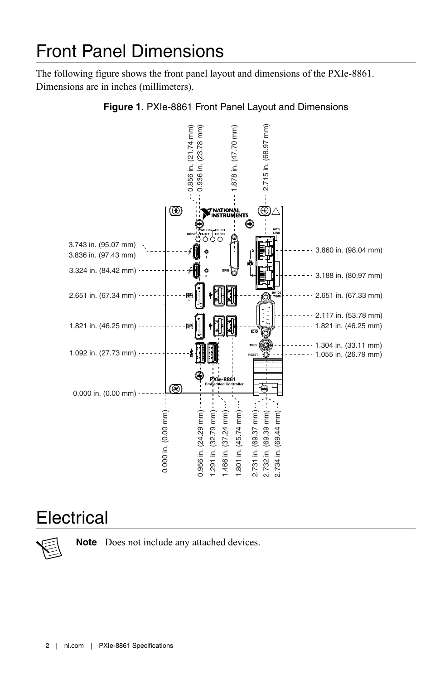## Front Panel Dimensions

The following figure shows the front panel layout and dimensions of the PXIe-8861. Dimensions are in inches (millimeters).





### **Electrical**

**Note** Does not include any attached devices.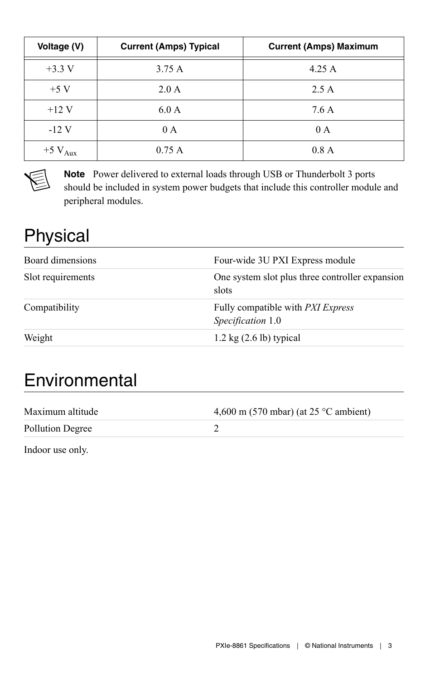| Voltage (V)           | <b>Current (Amps) Typical</b> | <b>Current (Amps) Maximum</b> |
|-----------------------|-------------------------------|-------------------------------|
| $+3.3 V$              | 3.75A                         | 4.25A                         |
| $+5$ V                | 2.0 A                         | 2.5A                          |
| $+12$ V               | 6.0 A                         | 7.6A                          |
| $-12V$                | 0 A                           | 0 A                           |
| $+5$ V <sub>Aux</sub> | 0.75A                         | 0.8A                          |

€

**Note** Power delivered to external loads through USB or Thunderbolt 3 ports should be included in system power budgets that include this controller module and peripheral modules.

## Physical

| Board dimensions  | Four-wide 3U PXI Express module                               |
|-------------------|---------------------------------------------------------------|
| Slot requirements | One system slot plus three controller expansion<br>slots      |
| Compatibility     | Fully compatible with <i>PXI Express</i><br>Specification 1.0 |
| Weight            | $1.2 \text{ kg}$ (2.6 lb) typical                             |

## **Environmental**

| Maximum altitude | 4,600 m (570 mbar) (at 25 $\degree$ C ambient) |
|------------------|------------------------------------------------|
| Pollution Degree |                                                |

Indoor use only.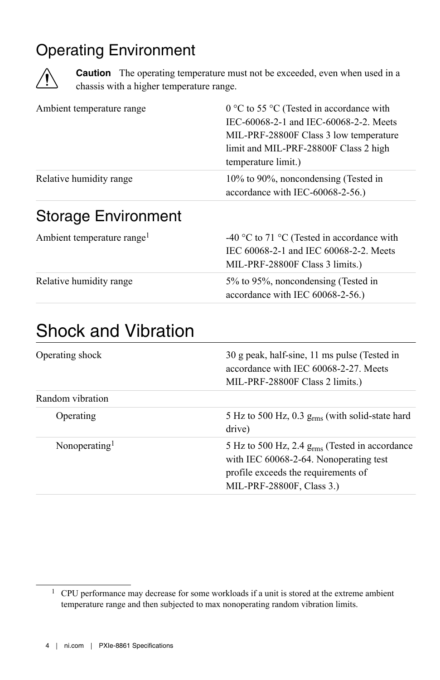## Operating Environment



**Caution** The operating temperature must not be exceeded, even when used in a chassis with a higher temperature range.

| Ambient temperature range | $0^{\circ}$ C to 55 $^{\circ}$ C (Tested in accordance with<br>IEC-60068-2-1 and IEC-60068-2-2. Meets<br>MIL-PRF-28800F Class 3 low temperature<br>limit and MIL-PRF-28800F Class 2 high<br>temperature limit.) |
|---------------------------|-----------------------------------------------------------------------------------------------------------------------------------------------------------------------------------------------------------------|
| Relative humidity range   | 10% to 90%, noncondensing (Tested in<br>accordance with IEC-60068-2-56.)                                                                                                                                        |

#### Storage Environment

| Ambient temperature range <sup>1</sup> | -40 °C to 71 °C (Tested in accordance with<br>IEC 60068-2-1 and IEC 60068-2-2. Meets<br>MIL-PRF-28800F Class 3 limits.) |
|----------------------------------------|-------------------------------------------------------------------------------------------------------------------------|
| Relative humidity range                | 5% to 95%, noncondensing (Tested in<br>accordance with IEC 60068-2-56.                                                  |

## Shock and Vibration

| Operating shock           | 30 g peak, half-sine, 11 ms pulse (Tested in<br>accordance with IEC 60068-2-27. Meets<br>MIL-PRF-28800F Class 2 limits.)                                       |
|---------------------------|----------------------------------------------------------------------------------------------------------------------------------------------------------------|
| Random vibration          |                                                                                                                                                                |
| Operating                 | 5 Hz to 500 Hz, 0.3 $grms$ (with solid-state hard<br>drive)                                                                                                    |
| Nonoperating <sup>1</sup> | 5 Hz to 500 Hz, 2.4 $grms$ (Tested in accordance<br>with IEC 60068-2-64. Nonoperating test<br>profile exceeds the requirements of<br>MIL-PRF-28800F, Class 3.) |

<sup>&</sup>lt;sup>1</sup> CPU performance may decrease for some workloads if a unit is stored at the extreme ambient temperature range and then subjected to max nonoperating random vibration limits.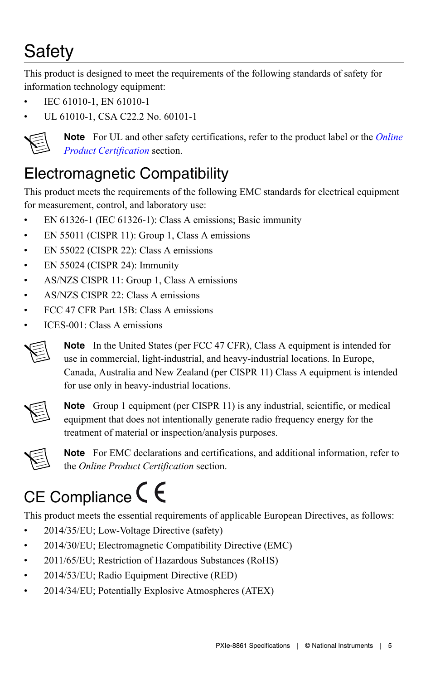## **Safety**

This product is designed to meet the requirements of the following standards of safety for information technology equipment:

- IEC 61010-1, EN 61010-1
- UL 61010-1, CSA C22.2 No. 60101-1



**Note** For UL and other safety certifications, refer to the product label or the *[Online](#page-5-0) [Product Certification](#page-5-0)* section.

## Electromagnetic Compatibility

This product meets the requirements of the following EMC standards for electrical equipment for measurement, control, and laboratory use:

- EN 61326-1 (IEC 61326-1): Class A emissions; Basic immunity
- EN 55011 (CISPR 11): Group 1, Class A emissions
- EN 55022 (CISPR 22): Class A emissions
- EN 55024 (CISPR 24): Immunity
- AS/NZS CISPR 11: Group 1, Class A emissions
- AS/NZS CISPR 22: Class A emissions
- FCC 47 CFR Part 15B: Class A emissions
- ICES-001: Class A emissions



**Note** In the United States (per FCC 47 CFR), Class A equipment is intended for use in commercial, light-industrial, and heavy-industrial locations. In Europe, Canada, Australia and New Zealand (per CISPR 11) Class A equipment is intended for use only in heavy-industrial locations.



**Note** Group 1 equipment (per CISPR 11) is any industrial, scientific, or medical equipment that does not intentionally generate radio frequency energy for the treatment of material or inspection/analysis purposes.



**Note** For EMC declarations and certifications, and additional information, refer to the *Online Product Certification* section.

# CE Compliance  $\zeta \epsilon$

This product meets the essential requirements of applicable European Directives, as follows:

- 2014/35/EU; Low-Voltage Directive (safety)
- 2014/30/EU; Electromagnetic Compatibility Directive (EMC)
- 2011/65/EU; Restriction of Hazardous Substances (RoHS)
- 2014/53/EU; Radio Equipment Directive (RED)
- 2014/34/EU; Potentially Explosive Atmospheres (ATEX)